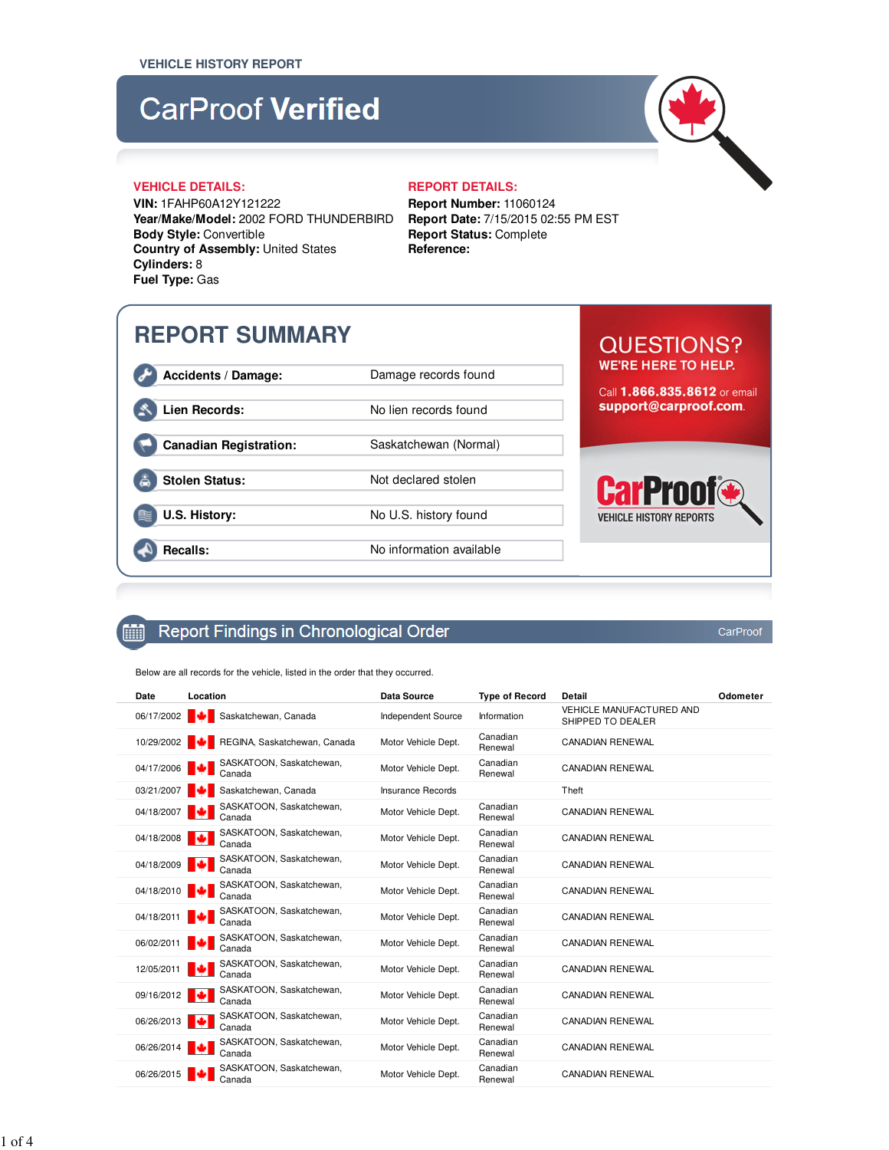## **CarProof Verified**



#### **VEHICLE DETAILS: REPORT DETAILS:**

**VIN:** 1FAHP60A12Y121222 **Year/Make/Model:** 2002 FORD THUNDERBIRD **Body Style:** Convertible **Country of Assembly:** United States **Cylinders:** 8 **Fuel Type:** Gas

**Report Number:** 11060124 **Report Date:** 7/15/2015 02:55 PM EST **Report Status:** Complete **Reference:**

## **REPORT SUMMARY**

**Accidents / Damage:** Damage records found

Lien Records: No lien records found

**Canadian Registration:** Saskatchewan (Normal)

Stolen Status: Not declared stolen

**U.S. History:** No U.S. history found

**Recalls:** No information available

# **WE'RE HERE TO HELP.**

**QUESTIONS?** 

Call 1.866.835.8612 or email support@carproof.com.

### **Ca** Prnn **VEHICLE HISTORY REPORTS**

CarProof

#### Report Findings in Chronological Order **Filli**

Below are all records for the vehicle, listed in the order that they occurred.

| Date       | Location                           | <b>Data Source</b>        | <b>Type of Record</b> | <b>Detail</b>                                        | Odometer |
|------------|------------------------------------|---------------------------|-----------------------|------------------------------------------------------|----------|
| 06/17/2002 | Saskatchewan, Canada               | <b>Independent Source</b> | Information           | <b>VEHICLE MANUFACTURED AND</b><br>SHIPPED TO DEALER |          |
| 10/29/2002 | REGINA, Saskatchewan, Canada       | Motor Vehicle Dept.       | Canadian<br>Renewal   | <b>CANADIAN RENEWAL</b>                              |          |
| 04/17/2006 | SASKATOON, Saskatchewan,<br>Canada | Motor Vehicle Dept.       | Canadian<br>Renewal   | <b>CANADIAN RENEWAL</b>                              |          |
| 03/21/2007 | Saskatchewan, Canada               | <b>Insurance Records</b>  |                       | Theft                                                |          |
| 04/18/2007 | SASKATOON, Saskatchewan,<br>Canada | Motor Vehicle Dept.       | Canadian<br>Renewal   | <b>CANADIAN RENEWAL</b>                              |          |
| 04/18/2008 | SASKATOON, Saskatchewan,<br>Canada | Motor Vehicle Dept.       | Canadian<br>Renewal   | <b>CANADIAN RENEWAL</b>                              |          |
| 04/18/2009 | SASKATOON, Saskatchewan,<br>Canada | Motor Vehicle Dept.       | Canadian<br>Renewal   | <b>CANADIAN RENEWAL</b>                              |          |
| 04/18/2010 | SASKATOON, Saskatchewan,<br>Canada | Motor Vehicle Dept.       | Canadian<br>Renewal   | <b>CANADIAN RENEWAL</b>                              |          |
| 04/18/2011 | SASKATOON, Saskatchewan,<br>Canada | Motor Vehicle Dept.       | Canadian<br>Renewal   | <b>CANADIAN RENEWAL</b>                              |          |
| 06/02/2011 | SASKATOON, Saskatchewan,<br>Canada | Motor Vehicle Dept.       | Canadian<br>Renewal   | CANADIAN RENEWAL                                     |          |
| 12/05/2011 | SASKATOON, Saskatchewan,<br>Canada | Motor Vehicle Dept.       | Canadian<br>Renewal   | <b>CANADIAN RENEWAL</b>                              |          |
| 09/16/2012 | SASKATOON, Saskatchewan,<br>Canada | Motor Vehicle Dept.       | Canadian<br>Renewal   | <b>CANADIAN RENEWAL</b>                              |          |
| 06/26/2013 | SASKATOON, Saskatchewan,<br>Canada | Motor Vehicle Dept.       | Canadian<br>Renewal   | <b>CANADIAN RENEWAL</b>                              |          |
| 06/26/2014 | SASKATOON, Saskatchewan,<br>Canada | Motor Vehicle Dept.       | Canadian<br>Renewal   | <b>CANADIAN RENEWAL</b>                              |          |
| 06/26/2015 | SASKATOON, Saskatchewan,<br>Canada | Motor Vehicle Dept.       | Canadian<br>Renewal   | <b>CANADIAN RENEWAL</b>                              |          |

1 of 4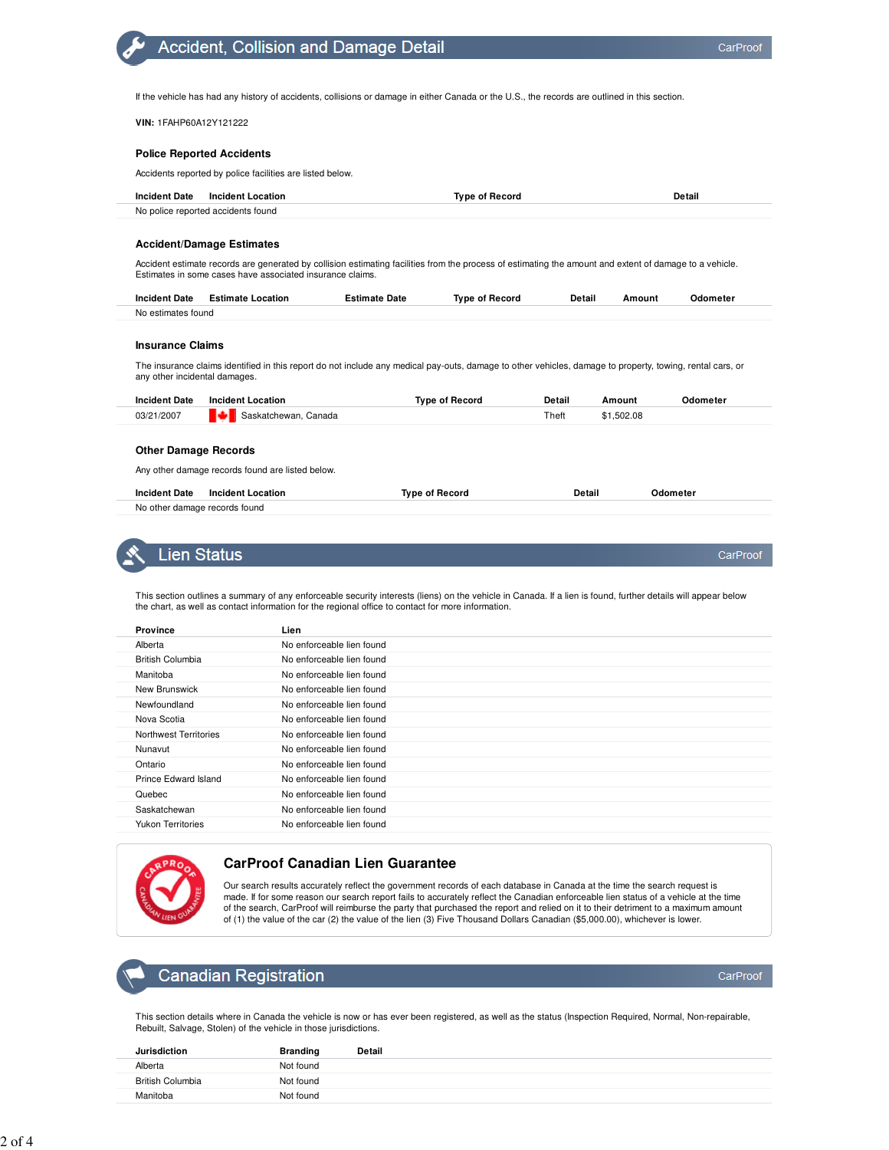CarProof

CarProof

If the vehicle has had any history of accidents, collisions or damage in either Canada or the U.S., the records are outlined in this section.

**VIN:** 1FAHP60A12Y121222

#### **Police Reported Accidents**

Accidents reported by police facilities are listed below.

**Accident, Collision and Damage Detail** 

| <b>Incident Date</b> | Incident Location                  | Tvpe of Record | Detail |
|----------------------|------------------------------------|----------------|--------|
|                      | No police reported accidents found |                |        |

#### **Accident/Damage Estimates**

Accident estimate records are generated by collision estimating facilities from the process of estimating the amount and extent of damage to a vehicle. Estimates in some cases have associated insurance claims.

| <b>Incident Date</b> | <b>Estimate Location</b> | Estimate Date | Tvpe of Record | Detail | Amount | Odometer |
|----------------------|--------------------------|---------------|----------------|--------|--------|----------|
| No estimates found   |                          |               |                |        |        |          |

#### **Insurance Claims**

The insurance claims identified in this report do not include any medical pay-outs, damage to other vehicles, damage to property, towing, rental cars, or any other incidental damages.

| <b>Incident Date</b> | <b>Incident Location</b> | Tvpe of Record | Detail | Amount     | Odometer |
|----------------------|--------------------------|----------------|--------|------------|----------|
| 03/21/2007           | Saskatchewan, Canada     |                | Theft  | \$1,502.08 |          |

#### **Other Damage Records**

Any other damage records found are listed below.

| <b>Incident Date</b>          | Incident Location | Tvpe of Record | Detail | Odometer |
|-------------------------------|-------------------|----------------|--------|----------|
| No other damage records found |                   |                |        |          |



This section outlines a summary of any enforceable security interests (liens) on the vehicle in Canada. If a lien is found, further details will appear below the chart, as well as contact information for the regional office to contact for more information.

| <b>Province</b>              | Lien                      |
|------------------------------|---------------------------|
| Alberta                      | No enforceable lien found |
| <b>British Columbia</b>      | No enforceable lien found |
| Manitoba                     | No enforceable lien found |
| New Brunswick                | No enforceable lien found |
| Newfoundland                 | No enforceable lien found |
| Nova Scotia                  | No enforceable lien found |
| <b>Northwest Territories</b> | No enforceable lien found |
| Nunavut                      | No enforceable lien found |
| Ontario                      | No enforceable lien found |
| Prince Edward Island         | No enforceable lien found |
| Quebec                       | No enforceable lien found |
| Saskatchewan                 | No enforceable lien found |
| <b>Yukon Territories</b>     | No enforceable lien found |



### **CarProof Canadian Lien Guarantee**

Our search results accurately reflect the government records of each database in Canada at the time the search request is made. If for some reason our search report fails to accurately reflect the Canadian enforceable lien status of a vehicle at the time of the search, CarProof will reimburse the party that purchased the report and relied on it to their detriment to a maximum amount of (1) the value of the car (2) the value of the lien (3) Five Thousand Dollars Canadian (\$5,000.00), whichever is lower.

#### **Canadian Registration**

This section details where in Canada the vehicle is now or has ever been registered, as well as the status (Inspection Required, Normal, Non-repairable, Rebuilt, Salvage, Stolen) of the vehicle in those jurisdictions.

| <b>Jurisdiction</b>     | <b>Branding</b> | <b>Detail</b> |
|-------------------------|-----------------|---------------|
| Alberta                 | Not found       |               |
| <b>British Columbia</b> | Not found       |               |
| Manitoba                | Not found       |               |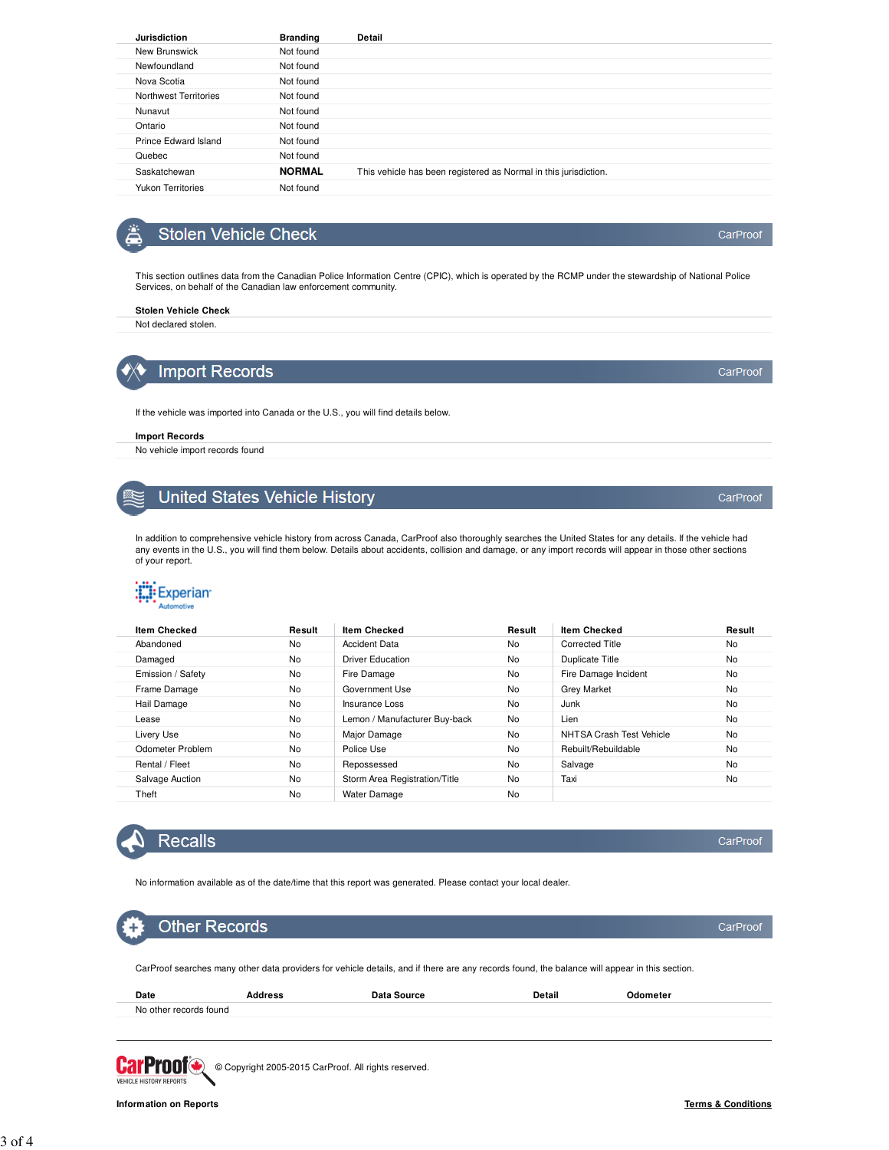| <b>Jurisdiction</b>          | <b>Branding</b> | Detail                                                           |
|------------------------------|-----------------|------------------------------------------------------------------|
| New Brunswick                | Not found       |                                                                  |
| Newfoundland                 | Not found       |                                                                  |
| Nova Scotia                  | Not found       |                                                                  |
| <b>Northwest Territories</b> | Not found       |                                                                  |
| Nunavut                      | Not found       |                                                                  |
| Ontario                      | Not found       |                                                                  |
| Prince Edward Island         | Not found       |                                                                  |
| Quebec                       | Not found       |                                                                  |
| Saskatchewan                 | <b>NORMAL</b>   | This vehicle has been registered as Normal in this jurisdiction. |
| <b>Yukon Territories</b>     | Not found       |                                                                  |

## **Stolen Vehicle Check**

This section outlines data from the Canadian Police Information Centre (CPIC), which is operated by the RCMP under the stewardship of National Police Services, on behalf of the Canadian law enforcement community.

#### **Stolen Vehicle Check** Not declared stolen.

**Import Records** 

If the vehicle was imported into Canada or the U.S., you will find details below.

#### **Import Records**

No vehicle import records found

## **United States Vehicle History**

In addition to comprehensive vehicle history from across Canada, CarProof also thoroughly searches the United States for any details. If the vehicle had<br>any events in the U.S., you will find them below. Details about accid

## **Experian**

| Automotive |  |
|------------|--|
|            |  |

| <b>Item Checked</b> | Result | <b>Item Checked</b>           | Result | <b>Item Checked</b>      | Result    |
|---------------------|--------|-------------------------------|--------|--------------------------|-----------|
| Abandoned           | No     | <b>Accident Data</b>          | No     | <b>Corrected Title</b>   | No        |
| Damaged             | No     | <b>Driver Education</b>       | No     | Duplicate Title          | <b>No</b> |
| Emission / Safety   | No     | Fire Damage                   | No     | Fire Damage Incident     | <b>No</b> |
| Frame Damage        | No     | Government Use                | No     | <b>Grey Market</b>       | No        |
| Hail Damage         | No     | <b>Insurance Loss</b>         | No     | Junk                     | No        |
| Lease               | No     | Lemon / Manufacturer Buy-back | No     | Lien                     | No        |
| Livery Use          | No     | Major Damage                  | No     | NHTSA Crash Test Vehicle | <b>No</b> |
| Odometer Problem    | No     | Police Use                    | No     | Rebuilt/Rebuildable      | <b>No</b> |
| Rental / Fleet      | No     | Repossessed                   | No     | Salvage                  | No        |
| Salvage Auction     | No     | Storm Area Registration/Title | No     | Taxi                     | <b>No</b> |
| Theft               | No     | <b>Water Damage</b>           | No     |                          |           |
|                     |        |                               |        |                          |           |



**Information on Reports**

### **Recalls**

No information available as of the date/time that this report was generated. Please contact your local dealer.

## **Other Records**

CarProof searches many other data providers for vehicle details, and if there are any records found, the balance will appear in this section.

| Date                   | Address | Data Source | Detail | Odometer |
|------------------------|---------|-------------|--------|----------|
| No other records found |         |             |        |          |
|                        |         |             |        |          |

**CarProof** © Copyright 2005-2015 CarProof. All rights reserved. VEHICLE HISTORY REPORTS



CarProof

CarProof

CarProof

CarProof

CarProof